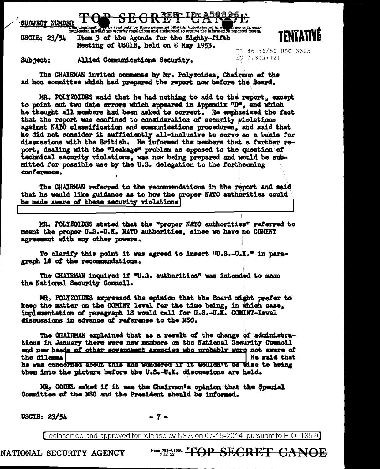## SUBJECT NUMBER

as a comment in the lead only by those personnel officially indoctrinated in a comment in the comment of the some with comment of the some must be commented between. Item 3 of the Agenda for the Eighty-fifth USCIB:  $23/54$ Meeting of USCIB. held on 8 May 1953.



Subject: Allied Communications Security. PL 86-36/50 USC 3605  $E_0$  3.3(h)(2)

The CHAIRMAN invited comments by Mr. Polyzoides. Chairman of the ad hoc committee which had prepared the report now before the Board.

MR. POLYZOIDES said that he had nothing to add to the report, except to point out two date errors which appeared in Appendix "D", and which he thought all members had been asked to correct. He emphasized the fact that the report was confined to consideration of security violations against NATO classification and communications procedures. and said that he did not consider it sufficiently all-inclusive to serve as a basis for discussions with the British. He informed the members that a further report, dealing with the "leakage" problem as opposed to the question of technical security violations, was now being prepared and would be submitted for possible use by the U.S. delegation to the forthcoming conference.

The CHAIRMAN referred to the recommendations in the report and said that he would like guidance as to how the proper NATO authorities could be made aware of these security violations

MR. POLYZOIDES stated that the "proper NATO authorities" referred to meant the proper U.S.-U.K. NATO authorities, since we have no COMINT agreement with any other powers.

To clarify this point it was agreed to insert "U.S.-U.K." in paragraph 18 of the recommendations.

The CHAIRMAN inquired if W.S. authorities" was intended to mean the National Security Council.

MR. POLYZOIDES expressed the opinion that the Board might prefer to keep the matter on the COMINT level for the time being, in which case, implementation of paragraph 18 would call for U.S.-U.K. COMINT-level discussions in advance of reference to the NSC.

The CHAIRMAN explained that as a result of the change of administrations in January there were new members on the National Security Council and new heads of other government agencies who probably were not aware of He said that the dilemmal he was concerned about this and wondered if it wouldn't be wise to bring them into the picture before the U.S.-U.K. discussions are held.

MR<sub>3</sub> GODEL asked if it was the Chairman's opinion that the Special Committee of the NSC and the President should be informed.

USCIB: 23/54

 $-7-$ 

Declassified and approved for release by NSA on 07-15-2014 pursuant to E.O. 13526

NATIONAL SECURITY AGENCY

Form 781-C108C TOP SECRET CANOE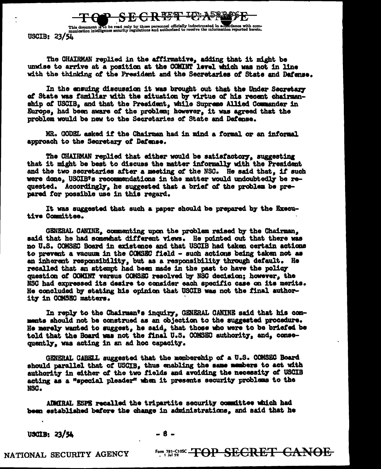This document is to be read only by those personnel officially indoctrinated in accordance with com-<br>munication intelligence security regulations and authorized to receive the information reported herein. USCIB: 23/54

The CHAIRMAN replied in the affirmative, adding that it might be unwise to arrive at a position at the COMINT level which was not in line with the thinking of the President and the Secretaries of State and Dafense.

 $GR$   $R$   $R$   $T$   $L$  $P$   $A$   $5839$   $9$ 

In the ensuing discussion it was brought out that the Under Secretary of State was familiar with the situation by virtue of his recent chairmanship of USCIB, and that the President, while Supreme Allied Commander in Europe, had been aware of the problem; however, it was agreed that the problem would be new to the Secretaries of State and Defense.

MR. GODEL asked if the Chairman had in mind a formal or an informal approach to the Secretary of Dafense.

The CHAIRMAN replied that either would be satisfactory, suggesting that it might be best to discuss the matter informally with the President and the two secretaries after a meeting of the NSC. He said that, if such were done. USCIB's recommendations in the matter would undoubtedly be requested. Accordingly, he suggested that a brief of the problem be prepared for possible use in this regard.

It was suggested that such a paper should be prepared by the Executive Committee.

GENERAL CANINE, commenting upon the problem raised by the Chairman. said that he had somewhat different views. He pointed out that there was no U.S. COMSEC Board in existence and that USCIB had taken certain actions to prevent a vacuum in the COMSEC field - such actions being taken not as an inherent responsibility, but as a responsibility through default. He recalled that an attempt had been made in the past to have the policy question of COMINT versus COMSEC resolved by NSC decision; however, the NSC had expressed its desire to consider each specific case on its merits. He concluded by stating his opinion that USCIB was not the final authority in COMSEC matters.

In reply to the Chairman's inquiry, GENERAL CANINE said that his comments should not be construed as an objection to the suggested procedure. He merely wanted to suggest, he said, that those who were to be briefed be told that the Board was not the final U.S. COMSEC authority, and, consequently, was acting in an ad hoc capacity.

GENERAL CARELL suggested that the membership of a U.S. COMSEC Board should parallel that of USCIB, thus enabling the same members to act with authority in either of the two fields and avoiding the necessity of USCIB acting as a "special pleader" when it presents security problems to the NSC.

ADMIRAL ESPE recalled the tripartite security committee which had been established before the change in administrations, and said that he

 $USCIB: 23/54$ 

 $-8-$ 

NATIONAL SECURITY AGENCY

**Form, 781-CIOSC - THAP SECRET CANOE**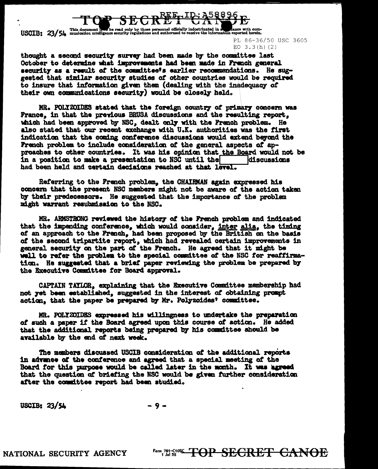

USCIB: 23/54 This document is so be read only by those personnel officially indoctrinated in a stance with com-<br>USCIB: 23/54 munication intelligence security regulations and authorized to receive the information reported h

PL 86-36/50 USC 3605 EO  $3.3(h)(2)$ 

thought a second security survey had been made by the committee last October to determine what improvements had been made in French general security as a result of the committee's earlier recommendations. He suggested that similar security studies of other countries would be required to insure that information given them (dealing with the inadequacy of their own communications security) would be closely held.

MR. POLYZOIDES stated that the foreign country of primary concern was France. in that the previous BRUSA discussions and the resulting report. which had been approved by NSC, dealt only with the French problem. He also stated that our recent exchange with U.K. authorities was the first indication that the coming conference discussions would extend beyond the French problem to include consideration of the general aspects of approaches to other countries. It was his opinion that the Board would not be in a position to make a presentation to NSC until the discussions had been held and certain decisions reached at that level.

Referring to the French problem, the CHAIRMAN again expressed his concern that the present NSC members might not be aware of the action taken by their predecessors. He suggested that the importance of the problem might warrant resubmission to the NSC.

MR. ARMSTRONG reviewed the history of the French problem and indicated that the impending conference, which would consider, inter alia, the timing of an approach to the French, had been proposed by the British on the basis of the second tripartite report, which had revealed certain improvements in general security on the part of the French. He agreed that it might be well to refer the problem to the special committee of the NSC for reaffirmation. He suggested that a brief paper reviewing the problem be prepared by the Executive Committee for Board approval.

CAPTAIN TAYLOR, explaining that the Executive Committee membership had not yet been established, suggested in the interest of obtaining prompt action, that the paper be prepared by Mr. Polyzoides' committee.

MR. POLYZOIDES expressed his willingness to undertake the preparation of such a paper if the Board agreed upon this course of action. He added that the additional reports being prepared by his committee should be available by the end of next week.

The members discussed USCIB consideration of the additional reports in advance of the conference and agreed that a special meeting of the Board for this purpose would be called later in the month. It was agreed that the question of briefing the NSC would be given further consideration after the committee report had been studied.

USCIB:  $23/54$  $-9-$